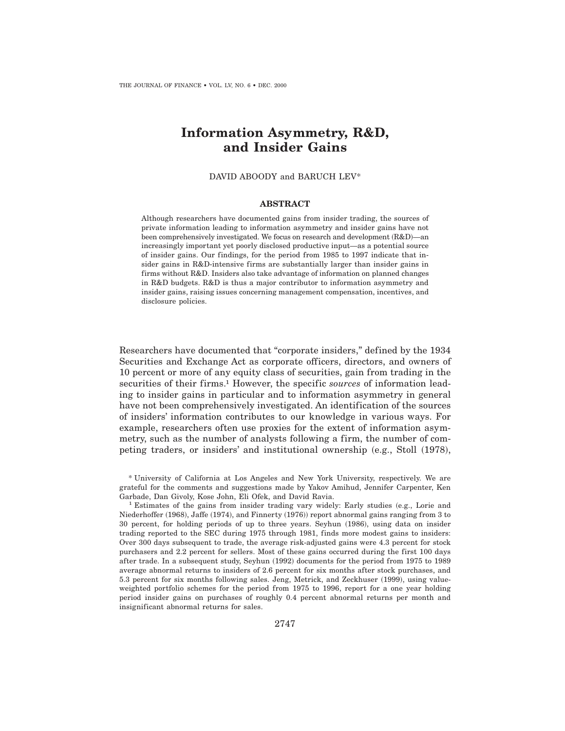# **Information Asymmetry, R&D, and Insider Gains**

## DAVID ABOODY and BARUCH LEV\*

#### **ABSTRACT**

Although researchers have documented gains from insider trading, the sources of private information leading to information asymmetry and insider gains have not been comprehensively investigated. We focus on research and development (R&D)—an increasingly important yet poorly disclosed productive input—as a potential source of insider gains. Our findings, for the period from 1985 to 1997 indicate that insider gains in R&D-intensive firms are substantially larger than insider gains in firms without R&D. Insiders also take advantage of information on planned changes in R&D budgets. R&D is thus a major contributor to information asymmetry and insider gains, raising issues concerning management compensation, incentives, and disclosure policies.

Researchers have documented that "corporate insiders," defined by the 1934 Securities and Exchange Act as corporate officers, directors, and owners of 10 percent or more of any equity class of securities, gain from trading in the securities of their firms.1 However, the specific *sources* of information leading to insider gains in particular and to information asymmetry in general have not been comprehensively investigated. An identification of the sources of insiders' information contributes to our knowledge in various ways. For example, researchers often use proxies for the extent of information asymmetry, such as the number of analysts following a firm, the number of competing traders, or insiders' and institutional ownership  $(e.g., Stoll (1978)),$ 

\* University of California at Los Angeles and New York University, respectively. We are grateful for the comments and suggestions made by Yakov Amihud, Jennifer Carpenter, Ken Garbade, Dan Givoly, Kose John, Eli Ofek, and David Ravia.

 $1$  Estimates of the gains from insider trading vary widely: Early studies (e.g., Lorie and Niederhoffer (1968), Jaffe (1974), and Finnerty (1976)) report abnormal gains ranging from 3 to 30 percent, for holding periods of up to three years. Seyhun (1986), using data on insider trading reported to the SEC during 1975 through 1981, finds more modest gains to insiders: Over 300 days subsequent to trade, the average risk-adjusted gains were 4.3 percent for stock purchasers and 2.2 percent for sellers. Most of these gains occurred during the first 100 days after trade. In a subsequent study, Seyhun (1992) documents for the period from 1975 to 1989 average abnormal returns to insiders of 2.6 percent for six months after stock purchases, and 5.3 percent for six months following sales. Jeng, Metrick, and Zeckhuser (1999), using valueweighted portfolio schemes for the period from 1975 to 1996, report for a one year holding period insider gains on purchases of roughly 0.4 percent abnormal returns per month and insignificant abnormal returns for sales.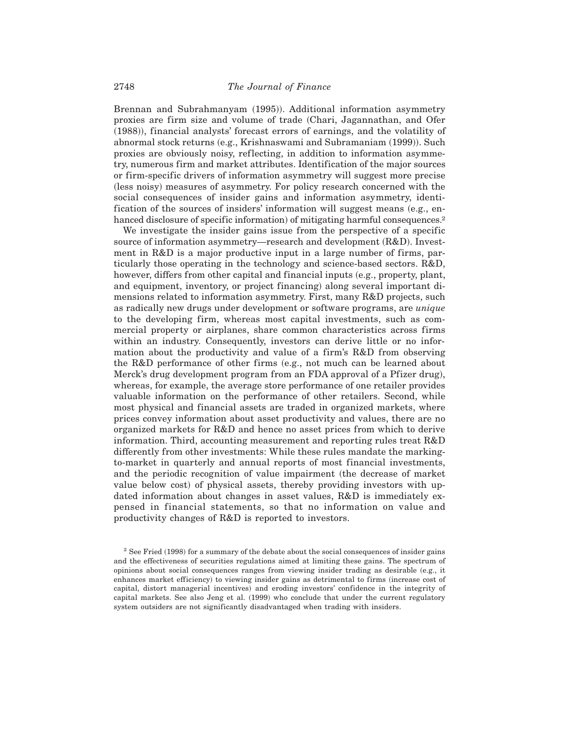Brennan and Subrahmanyam (1995)). Additional information asymmetry proxies are firm size and volume of trade (Chari, Jagannathan, and Ofer  $(1988)$ , financial analysts' forecast errors of earnings, and the volatility of abnormal stock returns (e.g., Krishnaswami and Subramaniam (1999)). Such proxies are obviously noisy, reflecting, in addition to information asymmetry, numerous firm and market attributes. Identification of the major sources or firm-specific drivers of information asymmetry will suggest more precise (less noisy) measures of asymmetry. For policy research concerned with the social consequences of insider gains and information asymmetry, identification of the sources of insiders' information will suggest means  $(e.g.,$  enhanced disclosure of specific information) of mitigating harmful consequences.<sup>2</sup>

We investigate the insider gains issue from the perspective of a specific source of information asymmetry—research and development (R&D). Investment in R&D is a major productive input in a large number of firms, particularly those operating in the technology and science-based sectors. R&D, however, differs from other capital and financial inputs (e.g., property, plant, and equipment, inventory, or project financing) along several important dimensions related to information asymmetry. First, many R&D projects, such as radically new drugs under development or software programs, are *unique* to the developing firm, whereas most capital investments, such as commercial property or airplanes, share common characteristics across firms within an industry. Consequently, investors can derive little or no information about the productivity and value of a firm's R&D from observing the R&D performance of other firms  $(e.g., not much can be learned about$ Merck's drug development program from an FDA approval of a Pfizer drug), whereas, for example, the average store performance of one retailer provides valuable information on the performance of other retailers. Second, while most physical and financial assets are traded in organized markets, where prices convey information about asset productivity and values, there are no organized markets for R&D and hence no asset prices from which to derive information. Third, accounting measurement and reporting rules treat R&D differently from other investments: While these rules mandate the markingto-market in quarterly and annual reports of most financial investments, and the periodic recognition of value impairment (the decrease of market value below cost) of physical assets, thereby providing investors with updated information about changes in asset values, R&D is immediately expensed in financial statements, so that no information on value and productivity changes of R&D is reported to investors.

 $2$  See Fried (1998) for a summary of the debate about the social consequences of insider gains and the effectiveness of securities regulations aimed at limiting these gains. The spectrum of opinions about social consequences ranges from viewing insider trading as desirable  $(e.g., it)$ enhances market efficiency) to viewing insider gains as detrimental to firms (increase cost of capital, distort managerial incentives) and eroding investors' confidence in the integrity of capital markets. See also Jeng et al.  $(1999)$  who conclude that under the current regulatory system outsiders are not significantly disadvantaged when trading with insiders.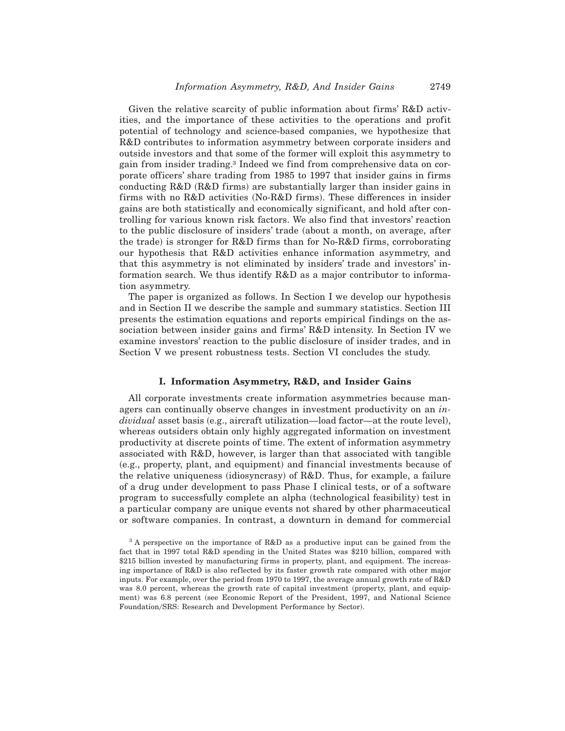Given the relative scarcity of public information about firms' R&D activities, and the importance of these activities to the operations and profit potential of technology and science-based companies, we hypothesize that R&D contributes to information asymmetry between corporate insiders and outside investors and that some of the former will exploit this asymmetry to gain from insider trading.3 Indeed we find from comprehensive data on corporate officers' share trading from 1985 to 1997 that insider gains in firms conducting R&D (R&D firms) are substantially larger than insider gains in firms with no R&D activities  $No-R&D$  firms). These differences in insider gains are both statistically and economically significant, and hold after controlling for various known risk factors. We also find that investors' reaction to the public disclosure of insiders' trade (about a month, on average, after the trade) is stronger for R&D firms than for No-R&D firms, corroborating our hypothesis that R&D activities enhance information asymmetry, and that this asymmetry is not eliminated by insiders' trade and investors' information search. We thus identify R&D as a major contributor to information asymmetry.

The paper is organized as follows. In Section I we develop our hypothesis and in Section II we describe the sample and summary statistics. Section III presents the estimation equations and reports empirical findings on the association between insider gains and firms' R&D intensity. In Section IV we examine investors' reaction to the public disclosure of insider trades, and in Section V we present robustness tests. Section VI concludes the study.

### **I. Information Asymmetry, R&D, and Insider Gains**

All corporate investments create information asymmetries because managers can continually observe changes in investment productivity on an *in* $dividual$  asset basis (e.g., aircraft utilization—load factor—at the route level), whereas outsiders obtain only highly aggregated information on investment productivity at discrete points of time. The extent of information asymmetry associated with R&D, however, is larger than that associated with tangible  $(e.g., property, plant, and equipment)$  and financial investments because of the relative uniqueness (idiosyncrasy) of R&D. Thus, for example, a failure of a drug under development to pass Phase I clinical tests, or of a software program to successfully complete an alpha (technological feasibility) test in a particular company are unique events not shared by other pharmaceutical or software companies. In contrast, a downturn in demand for commercial

<sup>&</sup>lt;sup>3</sup> A perspective on the importance of R&D as a productive input can be gained from the fact that in 1997 total R&D spending in the United States was \$210 billion, compared with \$215 billion invested by manufacturing firms in property, plant, and equipment. The increasing importance of R&D is also reflected by its faster growth rate compared with other major inputs. For example, over the period from 1970 to 1997, the average annual growth rate of R&D was 8.0 percent, whereas the growth rate of capital investment (property, plant, and equipment) was 6.8 percent (see Economic Report of the President, 1997, and National Science Foundation/SRS: Research and Development Performance by Sector).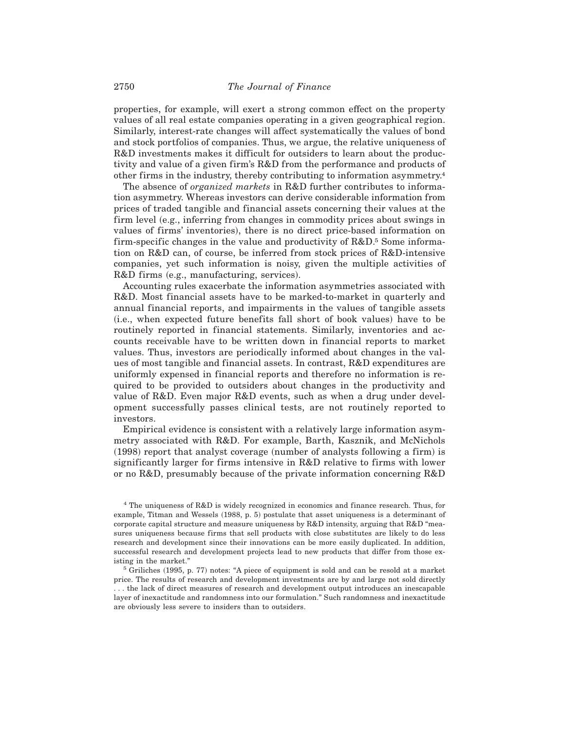properties, for example, will exert a strong common effect on the property values of all real estate companies operating in a given geographical region. Similarly, interest-rate changes will affect systematically the values of bond and stock portfolios of companies. Thus, we argue, the relative uniqueness of R&D investments makes it difficult for outsiders to learn about the productivity and value of a given firm's R&D from the performance and products of other firms in the industry, thereby contributing to information asymmetry.4

The absence of *organized markets* in R&D further contributes to information asymmetry. Whereas investors can derive considerable information from prices of traded tangible and financial assets concerning their values at the firm level (e.g., inferring from changes in commodity prices about swings in values of firms' inventories), there is no direct price-based information on firm-specific changes in the value and productivity of R&D.5 Some information on R&D can, of course, be inferred from stock prices of R&D-intensive companies, yet such information is noisy, given the multiple activities of  $R&D$  firms (e.g., manufacturing, services).

Accounting rules exacerbate the information asymmetries associated with R&D. Most financial assets have to be marked-to-market in quarterly and annual financial reports, and impairments in the values of tangible assets  $(i.e., when expected future benefits fall short of book values) have to be$ routinely reported in financial statements. Similarly, inventories and accounts receivable have to be written down in financial reports to market values. Thus, investors are periodically informed about changes in the values of most tangible and financial assets. In contrast, R&D expenditures are uniformly expensed in financial reports and therefore no information is required to be provided to outsiders about changes in the productivity and value of R&D. Even major R&D events, such as when a drug under development successfully passes clinical tests, are not routinely reported to investors.

Empirical evidence is consistent with a relatively large information asymmetry associated with R&D. For example, Barth, Kasznik, and McNichols  $(1998)$  report that analyst coverage (number of analysts following a firm) is significantly larger for firms intensive in R&D relative to firms with lower or no R&D, presumably because of the private information concerning R&D

<sup>4</sup> The uniqueness of R&D is widely recognized in economics and finance research. Thus, for example, Titman and Wessels (1988, p. 5) postulate that asset uniqueness is a determinant of corporate capital structure and measure uniqueness by R&D intensity, arguing that R&D "measures uniqueness because firms that sell products with close substitutes are likely to do less research and development since their innovations can be more easily duplicated. In addition, successful research and development projects lead to new products that differ from those existing in the market."

 $5$  Griliches (1995, p. 77) notes: "A piece of equipment is sold and can be resold at a market price. The results of research and development investments are by and large not sold directly . . . the lack of direct measures of research and development output introduces an inescapable layer of inexactitude and randomness into our formulation." Such randomness and inexactitude are obviously less severe to insiders than to outsiders.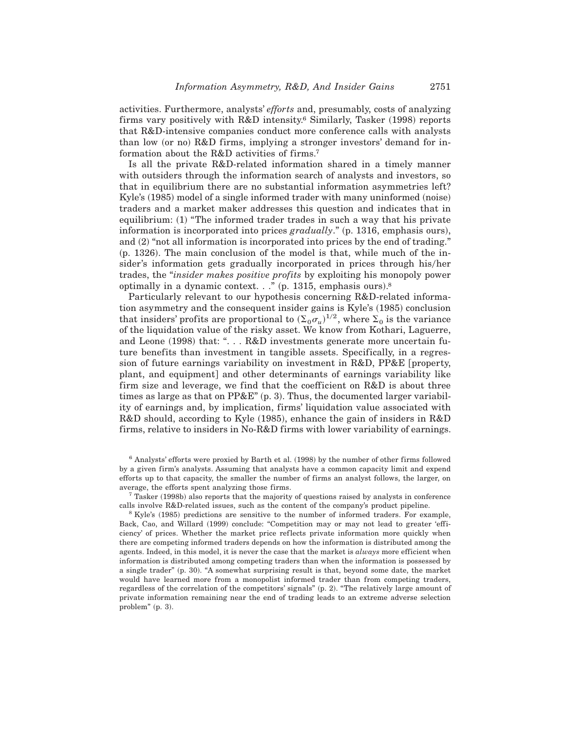activities. Furthermore, analysts' *efforts* and, presumably, costs of analyzing firms vary positively with R&D intensity.<sup>6</sup> Similarly, Tasker  $(1998)$  reports that R&D-intensive companies conduct more conference calls with analysts than low (or no) R&D firms, implying a stronger investors' demand for information about the R&D activities of firms.7

Is all the private R&D-related information shared in a timely manner with outsiders through the information search of analysts and investors, so that in equilibrium there are no substantial information asymmetries left? Kyle's  $(1985)$  model of a single informed trader with many uninformed  $(noise)$ traders and a market maker addresses this question and indicates that in equilibrium:  $(1)$  "The informed trader trades in such a way that his private information is incorporated into prices *gradually*." (p. 1316, emphasis ours), and  $(2)$  "not all information is incorporated into prices by the end of trading."  $(p. 1326)$ . The main conclusion of the model is that, while much of the insider's information gets gradually incorporated in prices through his/her trades, the "*insider makes positive profits* by exploiting his monopoly power optimally in a dynamic context.  $\ldots$ " (p. 1315, emphasis ours).<sup>8</sup>

Particularly relevant to our hypothesis concerning R&D-related information asymmetry and the consequent insider gains is Kyle's (1985) conclusion that insiders' profits are proportional to  $(\Sigma_0 \sigma_u)^{1/2}$ , where  $\Sigma_0$  is the variance of the liquidation value of the risky asset. We know from Kothari, Laguerre, and Leone (1998) that: ". . . R&D investments generate more uncertain future benefits than investment in tangible assets. Specifically, in a regression of future earnings variability on investment in  $R&D$ ,  $PP&E$  [property, plant, and equipment and other determinants of earnings variability like firm size and leverage, we find that the coefficient on R&D is about three times as large as that on  $PP\&E''(p. 3)$ . Thus, the documented larger variability of earnings and, by implication, firms' liquidation value associated with R&D should, according to Kyle  $(1985)$ , enhance the gain of insiders in R&D firms, relative to insiders in No-R&D firms with lower variability of earnings.

 $6$  Analysts' efforts were proxied by Barth et al.  $(1998)$  by the number of other firms followed by a given firm's analysts. Assuming that analysts have a common capacity limit and expend efforts up to that capacity, the smaller the number of firms an analyst follows, the larger, on average, the efforts spent analyzing those firms.

 $7$  Tasker (1998b) also reports that the majority of questions raised by analysts in conference calls involve R&D-related issues, such as the content of the company's product pipeline.

 $8$  Kyle's  $(1985)$  predictions are sensitive to the number of informed traders. For example, Back, Cao, and Willard (1999) conclude: "Competition may or may not lead to greater 'efficiency' of prices. Whether the market price reflects private information more quickly when there are competing informed traders depends on how the information is distributed among the agents. Indeed, in this model, it is never the case that the market is *always* more efficient when information is distributed among competing traders than when the information is possessed by a single trader"  $(p. 30)$ . "A somewhat surprising result is that, beyond some date, the market would have learned more from a monopolist informed trader than from competing traders, regardless of the correlation of the competitors' signals"  $(p. 2)$ . "The relatively large amount of private information remaining near the end of trading leads to an extreme adverse selection problem" (p. 3).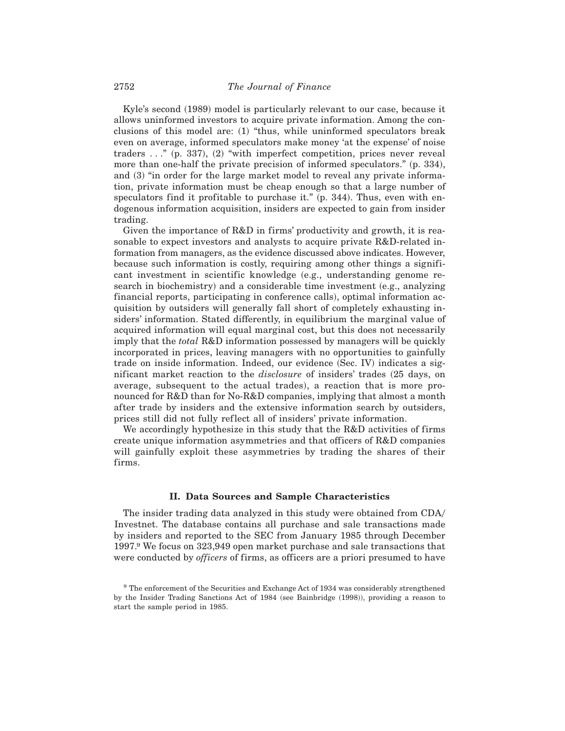Kyle's second (1989) model is particularly relevant to our case, because it allows uninformed investors to acquire private information. Among the conclusions of this model are:  $(1)$  "thus, while uninformed speculators break even on average, informed speculators make money 'at the expense' of noise traders  $\ldots$  " (p. 337), (2) "with imperfect competition, prices never reveal more than one-half the private precision of informed speculators."  $(p. 334)$ , and  $(3)$  "in order for the large market model to reveal any private information, private information must be cheap enough so that a large number of speculators find it profitable to purchase it."  $(p. 344)$ . Thus, even with endogenous information acquisition, insiders are expected to gain from insider trading.

Given the importance of R&D in firms' productivity and growth, it is reasonable to expect investors and analysts to acquire private R&D-related information from managers, as the evidence discussed above indicates. However, because such information is costly, requiring among other things a significant investment in scientific knowledge (e.g., understanding genome research in biochemistry) and a considerable time investment  $(e.g.,$  analyzing financial reports, participating in conference calls), optimal information acquisition by outsiders will generally fall short of completely exhausting insiders' information. Stated differently, in equilibrium the marginal value of acquired information will equal marginal cost, but this does not necessarily imply that the *total* R&D information possessed by managers will be quickly incorporated in prices, leaving managers with no opportunities to gainfully trade on inside information. Indeed, our evidence (Sec. IV) indicates a significant market reaction to the *disclosure* of insiders' trades (25 days, on average, subsequent to the actual trades), a reaction that is more pronounced for R&D than for No-R&D companies, implying that almost a month after trade by insiders and the extensive information search by outsiders, prices still did not fully reflect all of insiders' private information.

We accordingly hypothesize in this study that the R&D activities of firms create unique information asymmetries and that officers of R&D companies will gainfully exploit these asymmetries by trading the shares of their firms.

#### **II. Data Sources and Sample Characteristics**

The insider trading data analyzed in this study were obtained from CDA/ Investnet. The database contains all purchase and sale transactions made by insiders and reported to the SEC from January 1985 through December 1997.9 We focus on 323,949 open market purchase and sale transactions that were conducted by *officers* of firms, as officers are a priori presumed to have

<sup>9</sup> The enforcement of the Securities and Exchange Act of 1934 was considerably strengthened by the Insider Trading Sanctions Act of  $1984$  (see Bainbridge  $(1998)$ ), providing a reason to start the sample period in 1985.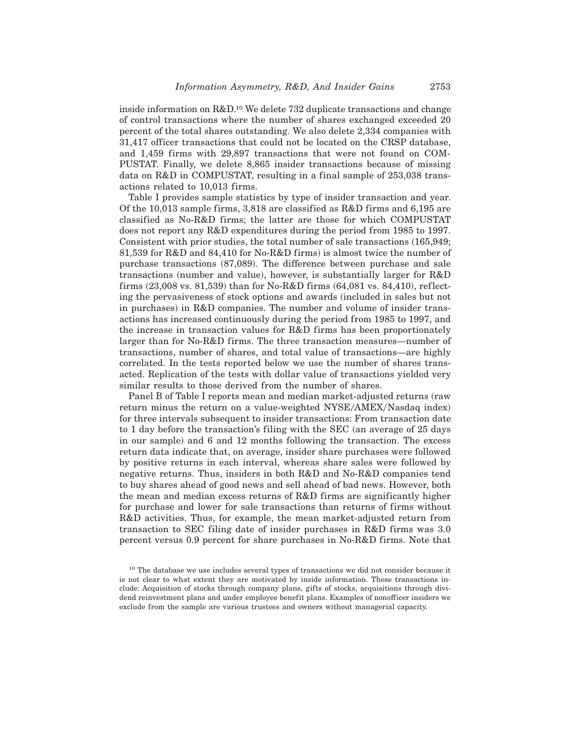inside information on R&D.10 We delete 732 duplicate transactions and change of control transactions where the number of shares exchanged exceeded 20 percent of the total shares outstanding. We also delete 2,334 companies with 31,417 officer transactions that could not be located on the CRSP database, and 1,459 firms with 29,897 transactions that were not found on COM-PUSTAT. Finally, we delete 8,865 insider transactions because of missing data on R&D in COMPUSTAT, resulting in a final sample of 253,038 transactions related to 10,013 firms.

Table I provides sample statistics by type of insider transaction and year. Of the 10,013 sample firms, 3,818 are classified as R&D firms and 6,195 are classified as No-R&D firms; the latter are those for which COMPUSTAT does not report any R&D expenditures during the period from 1985 to 1997. Consistent with prior studies, the total number of sale transactions (165,949; 81,539 for R&D and 84,410 for No-R&D firms) is almost twice the number of purchase transactions  $(87,089)$ . The difference between purchase and sale transactions (number and value), however, is substantially larger for  $R&D$ firms  $(23,008 \text{ vs. } 81,539)$  than for No-R&D firms  $(64,081 \text{ vs. } 84,410)$ , reflecting the pervasiveness of stock options and awards (included in sales but not in purchases) in R&D companies. The number and volume of insider transactions has increased continuously during the period from 1985 to 1997, and the increase in transaction values for R&D firms has been proportionately larger than for No-R&D firms. The three transaction measures—number of transactions, number of shares, and total value of transactions—are highly correlated. In the tests reported below we use the number of shares transacted. Replication of the tests with dollar value of transactions yielded very similar results to those derived from the number of shares.

Panel B of Table I reports mean and median market-adjusted returns (raw return minus the return on a value-weighted  $NYSE/AMEX/Nasdaq$  index) for three intervals subsequent to insider transactions: From transaction date to 1 day before the transaction's filing with the SEC (an average of  $25$  days in our sample) and 6 and 12 months following the transaction. The excess return data indicate that, on average, insider share purchases were followed by positive returns in each interval, whereas share sales were followed by negative returns. Thus, insiders in both R&D and No-R&D companies tend to buy shares ahead of good news and sell ahead of bad news. However, both the mean and median excess returns of R&D firms are significantly higher for purchase and lower for sale transactions than returns of firms without R&D activities. Thus, for example, the mean market-adjusted return from transaction to SEC filing date of insider purchases in R&D firms was 3.0 percent versus 0.9 percent for share purchases in No-R&D firms. Note that

<sup>&</sup>lt;sup>10</sup> The database we use includes several types of transactions we did not consider because it is not clear to what extent they are motivated by inside information. These transactions include: Acquisition of stocks through company plans, gifts of stocks, acquisitions through dividend reinvestment plans and under employee benefit plans. Examples of nonofficer insiders we exclude from the sample are various trustees and owners without managerial capacity.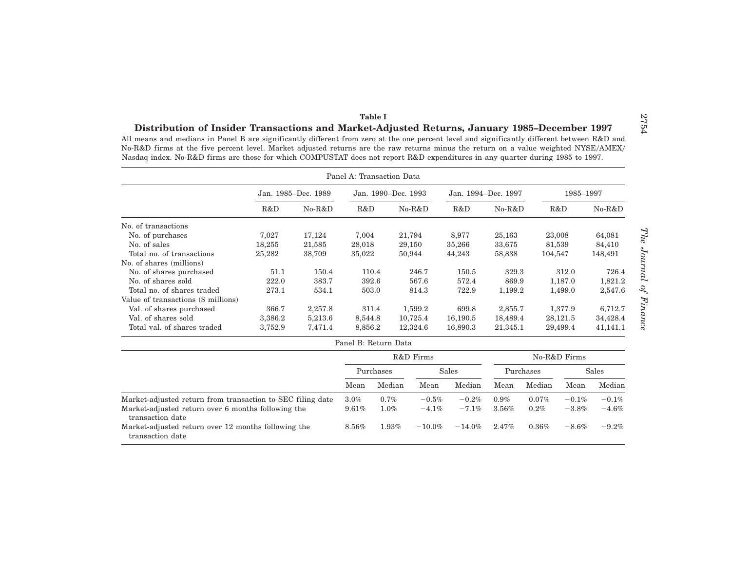## **Table I**Distribution of Insider Transactions and Market-Adjusted Returns, January 1985-December 1997

All means and medians in Panel B are significantly different from zero at the one percent level and significantly different between R&D and No-R&D firms at the five percent level. Market adjusted returns are the raw returns minus the return on a value weighted NYSE/AMEX/ Nasdaq index. No-R&D firms are those for which COMPUSTAT does not report R&D expenditures in any quarter during 1985 to 1997.

|                                                            |                     |         |                           | Panel A: Transaction Data |                     |           |           |         |          |          |
|------------------------------------------------------------|---------------------|---------|---------------------------|---------------------------|---------------------|-----------|-----------|---------|----------|----------|
|                                                            | Jan. 1985-Dec. 1989 |         | Jan. 1990–Dec. 1993       |                           | Jan. 1994–Dec. 1997 |           | 1985-1997 |         |          |          |
|                                                            | R&D                 | No-R&D  | R&D                       |                           | No-R&D              | R&D       | $No-R&D$  |         | R&D      | $No-R&D$ |
| No. of transactions                                        |                     |         |                           |                           |                     |           |           |         |          |          |
| No. of purchases                                           | 7,027               | 17,124  | 7,004                     |                           | 21,794              | 8,977     | 25,163    |         | 23,008   | 64,081   |
| No. of sales                                               | 18,255              | 21,585  | 28,018                    |                           | 29,150              | 35,266    | 33,675    |         | 81,539   | 84,410   |
| Total no. of transactions                                  | 25,282              | 38,709  | 35,022                    |                           | 50,944              | 44,243    | 58,838    | 104,547 |          | 148,491  |
| No. of shares (millions)                                   |                     |         |                           |                           |                     |           |           |         |          |          |
| No. of shares purchased                                    | 51.1                | 150.4   |                           | 110.4                     | 246.7               | 150.5     | 329.3     |         | 312.0    | 726.4    |
| No. of shares sold                                         | 222.0               | 383.7   |                           | 392.6                     | 567.6               | 572.4     | 869.9     |         | 1,187.0  | 1,821.2  |
| Total no. of shares traded                                 | 273.1               | 534.1   |                           | 503.0                     | 814.3               | 722.9     | 1,199.2   |         | 1,499.0  | 2,547.6  |
| Value of transactions (\$ millions)                        |                     |         |                           |                           |                     |           |           |         |          |          |
| Val. of shares purchased                                   | 366.7               | 2,257.8 |                           | 311.4                     | 1,599.2             | 699.8     | 2,855.7   |         | 1,377.9  | 6,712.7  |
| Val. of shares sold                                        | 3,386.2             | 5,213.6 | 8,544.8                   |                           | 10,725.4            | 16,190.5  | 18,489.4  |         | 28,121.5 | 34,428.4 |
| Total val. of shares traded                                | 3,752.9             | 7,471.4 | 8,856.2                   |                           | 12,324.6            | 16,890.3  | 21,345.1  |         | 29,499.4 | 41,141.1 |
|                                                            |                     |         |                           | Panel B: Return Data      |                     |           |           |         |          |          |
|                                                            |                     |         | R&D Firms<br>No-R&D Firms |                           |                     |           |           |         |          |          |
|                                                            |                     |         | Sales<br>Purchases        |                           |                     | Purchases |           |         | Sales    |          |
|                                                            |                     |         | Mean                      | Median                    | Mean                | Median    | Mean      | Median  | Mean     | Median   |
| Market-adjusted return from transaction to SEC filing date |                     |         | 3.0%                      | 0.7%                      | $-0.5%$             | $-0.2%$   | $0.9\%$   | 0.07%   | $-0.1\%$ | $-0.1\%$ |
| Market-adjusted return over 6 months following the         |                     |         | 9.61%                     | 1.0%                      | $-4.1\%$            | $-7.1\%$  | $3.56\%$  | 0.2%    | $-3.8\%$ | $-4.6%$  |

8.56% 1.93%

 $-10.0\%$   $-14.0\%$   $2.47\%$   $0.36\%$   $-8.6\%$   $-9.2\%$ 

transaction date

transaction date

Market-adjusted return over 12 months following the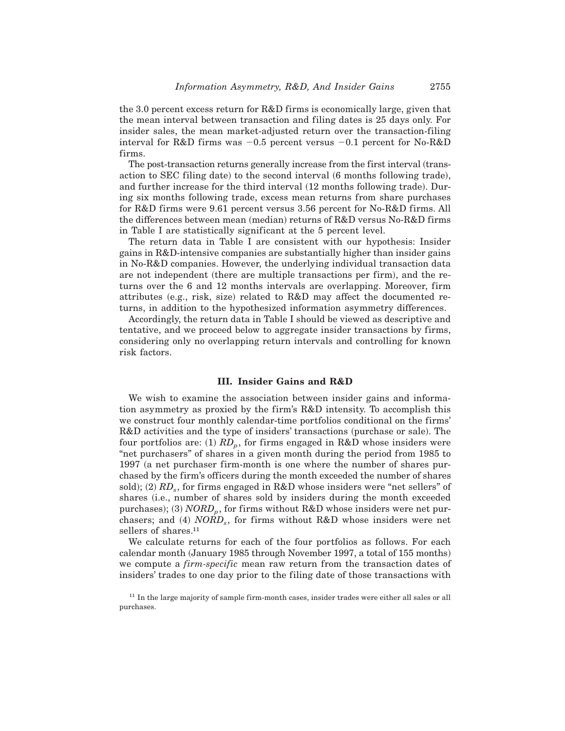the 3.0 percent excess return for R&D firms is economically large, given that the mean interval between transaction and filing dates is 25 days only. For insider sales, the mean market-adjusted return over the transaction-filing interval for R&D firms was  $-0.5$  percent versus  $-0.1$  percent for No-R&D firms.

The post-transaction returns generally increase from the first interval (transaction to SEC filing date) to the second interval  $(6$  months following trade), and further increase for the third interval  $(12 \text{ months following trade})$ . During six months following trade, excess mean returns from share purchases for R&D firms were 9.61 percent versus 3.56 percent for No-R&D firms. All the differences between mean (median) returns of  $R&D$  versus No- $R&D$  firms in Table I are statistically significant at the 5 percent level.

The return data in Table I are consistent with our hypothesis: Insider gains in R&D-intensive companies are substantially higher than insider gains in No-R&D companies. However, the underlying individual transaction data are not independent (there are multiple transactions per firm), and the returns over the 6 and 12 months intervals are overlapping. Moreover, firm attributes  $(e.g., risk, size)$  related to  $R&D$  may affect the documented returns, in addition to the hypothesized information asymmetry differences.

Accordingly, the return data in Table I should be viewed as descriptive and tentative, and we proceed below to aggregate insider transactions by firms, considering only no overlapping return intervals and controlling for known risk factors.

## **III. Insider Gains and R&D**

We wish to examine the association between insider gains and information asymmetry as proxied by the firm's R&D intensity. To accomplish this we construct four monthly calendar-time portfolios conditional on the firms'  $R&D$  activities and the type of insiders' transactions (purchase or sale). The four portfolios are:  $(1)$   $RD<sub>p</sub>$ , for firms engaged in R&D whose insiders were "net purchasers" of shares in a given month during the period from 1985 to 1997 (a net purchaser firm-month is one where the number of shares purchased by the firm's officers during the month exceeded the number of shares sold); (2) *RD<sub>s</sub>*, for firms engaged in R&D whose insiders were "net sellers" of shares (i.e., number of shares sold by insiders during the month exceeded purchases); (3) *NORD<sub>p</sub>*, for firms without R&D whose insiders were net purchasers; and (4) *NORD<sub>s</sub>*, for firms without R&D whose insiders were net sellers of shares.<sup>11</sup>

We calculate returns for each of the four portfolios as follows. For each calendar month (January 1985 through November 1997, a total of 155 months) we compute a *firm-specific* mean raw return from the transaction dates of insiders' trades to one day prior to the filing date of those transactions with

 $11$  In the large majority of sample firm-month cases, insider trades were either all sales or all purchases.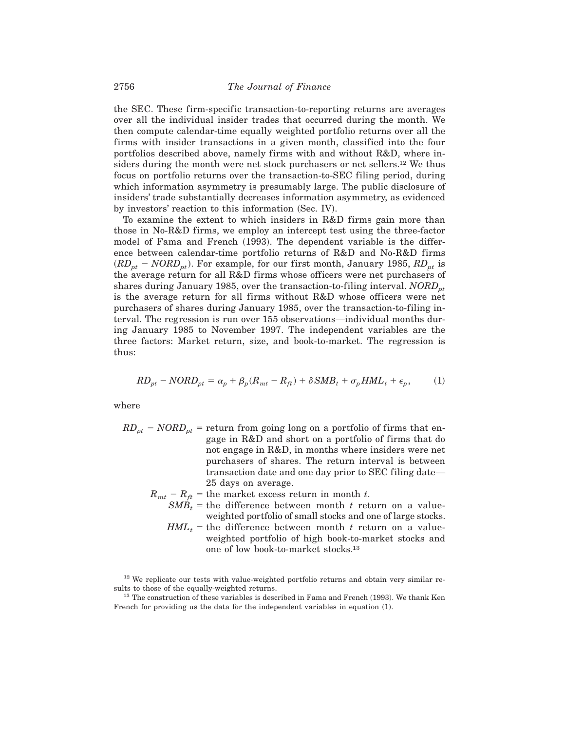the SEC. These firm-specific transaction-to-reporting returns are averages over all the individual insider trades that occurred during the month. We then compute calendar-time equally weighted portfolio returns over all the firms with insider transactions in a given month, classified into the four portfolios described above, namely firms with and without R&D, where insiders during the month were net stock purchasers or net sellers.12 We thus focus on portfolio returns over the transaction-to-SEC filing period, during which information asymmetry is presumably large. The public disclosure of insiders' trade substantially decreases information asymmetry, as evidenced by investors' reaction to this information (Sec. IV).

To examine the extent to which insiders in R&D firms gain more than those in No-R&D firms, we employ an intercept test using the three-factor model of Fama and French (1993). The dependent variable is the difference between calendar-time portfolio returns of R&D and No-R&D firms  $(RD_{pt} - NORD_{pt})$ . For example, for our first month, January 1985,  $RD_{pt}$  is the average return for all R&D firms whose officers were net purchasers of shares during January 1985, over the transaction-to-filing interval.  $NORD_{nt}$ is the average return for all firms without R&D whose officers were net purchasers of shares during January 1985, over the transaction-to-filing interval. The regression is run over 155 observations—individual months during January 1985 to November 1997. The independent variables are the three factors: Market return, size, and book-to-market. The regression is thus:

$$
RD_{pt} - NORD_{pt} = \alpha_p + \beta_p (R_{mt} - R_{ft}) + \delta SMB_t + \sigma_p HML_t + \epsilon_p, \tag{1}
$$

where

 $RD_{pt}$  – *NORD<sub>pt</sub>* = return from going long on a portfolio of firms that engage in R&D and short on a portfolio of firms that do not engage in R&D, in months where insiders were net purchasers of shares. The return interval is between transaction date and one day prior to SEC filing date— 25 days on average.

 $R_{mt} - R_{ft}$  = the market excess return in month *t*.

- $SMB_t$  = the difference between month *t* return on a valueweighted portfolio of small stocks and one of large stocks.
- $HML_t$  = the difference between month *t* return on a valueweighted portfolio of high book-to-market stocks and one of low book-to-market stocks.13

 $12$  We replicate our tests with value-weighted portfolio returns and obtain very similar results to those of the equally-weighted returns.

 $13$  The construction of these variables is described in Fama and French  $(1993)$ . We thank Ken French for providing us the data for the independent variables in equation  $(1)$ .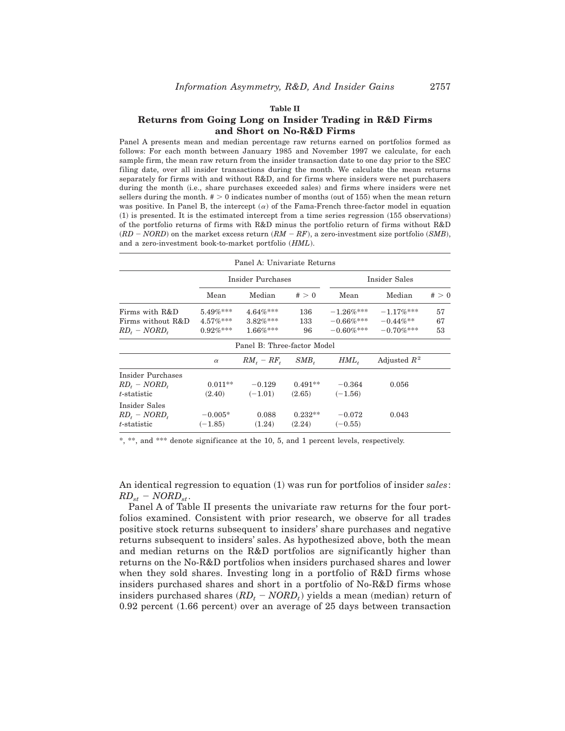#### **Table II**

## **Returns from Going Long on Insider Trading in R&D Firms and Short on No-R&D Firms**

Panel A presents mean and median percentage raw returns earned on portfolios formed as follows: For each month between January 1985 and November 1997 we calculate, for each sample firm, the mean raw return from the insider transaction date to one day prior to the SEC filing date, over all insider transactions during the month. We calculate the mean returns separately for firms with and without R&D, and for firms where insiders were net purchasers during the month (i.e., share purchases exceeded sales) and firms where insiders were net sellers during the month.  $# > 0$  indicates number of months (out of 155) when the mean return was positive. In Panel B, the intercept  $(a)$  of the Fama-French three-factor model in equation  $(1)$  is presented. It is the estimated intercept from a time series regression  $(155$  observations) of the portfolio returns of firms with R&D minus the portfolio return of firms without R&D  $(RD - NORD)$  on the market excess return  $(RM - RF)$ , a zero-investment size portfolio  $(SMB)$ , and a zero-investment book-to-market portfolio (*HML*).

|                          |             | Panel A: Univariate Returns     |           |                   |                         |       |  |
|--------------------------|-------------|---------------------------------|-----------|-------------------|-------------------------|-------|--|
|                          |             | Insider Purchases               |           | Insider Sales     |                         |       |  |
|                          | Mean        | Median                          | # > 0     | Mean              | Median                  | # > 0 |  |
| Firms with R&D           | $5.49\%***$ | $4.64\%***$                     | 136       | $-1.26\%***$      | $-1.17\%$ ***           | 57    |  |
| Firms without R&D        | $4.57\%***$ | $3.82\%***$                     | 133       | $-0.66\%***$      | $-0.44\%$ <sup>**</sup> | 67    |  |
| $RD_t - NORD_t$          | $0.92\%***$ | $1.66\%***$                     | 96        | $-0.60\%***$      | $-0.70\%$ ***           | 53    |  |
|                          |             | Panel B: Three-factor Model     |           |                   |                         |       |  |
|                          | $\alpha$    | $RM_{\rm \star}-RF_{\rm \star}$ | $SMB_{t}$ | $HML_{t}$         | Adjusted $R^2$          |       |  |
| <b>Insider Purchases</b> |             |                                 |           |                   |                         |       |  |
| $RD_t - NORD_t$          | $0.011**$   | $-0.129$                        | $0.491**$ | $-0.364$          | 0.056                   |       |  |
| t-statistic              | (2.40)      | $(-1.01)$                       | (2.65)    | $(-1.56)$         |                         |       |  |
| Insider Sales            |             |                                 |           |                   |                         |       |  |
| $RD_t - NORD_t$          | $-0.005*$   | 0.088                           | $0.232**$ | $-0.072$<br>0.043 |                         |       |  |
| $t$ -statistic           | $(-1.85)$   | (1.24)                          | (2.24)    | $(-0.55)$         |                         |       |  |

\*, \*\*, and \*\*\* denote significance at the 10, 5, and 1 percent levels, respectively.

An identical regression to equation  $(1)$  was run for portfolios of insider *sales*:  $RD_{st}$  –  $NORD_{st}$ .

Panel A of Table II presents the univariate raw returns for the four portfolios examined. Consistent with prior research, we observe for all trades positive stock returns subsequent to insiders' share purchases and negative returns subsequent to insiders' sales. As hypothesized above, both the mean and median returns on the R&D portfolios are significantly higher than returns on the No-R&D portfolios when insiders purchased shares and lower when they sold shares. Investing long in a portfolio of R&D firms whose insiders purchased shares and short in a portfolio of No-R&D firms whose insiders purchased shares  $(RD_t - NORD_t)$  yields a mean (median) return of  $0.92$  percent  $(1.66$  percent) over an average of 25 days between transaction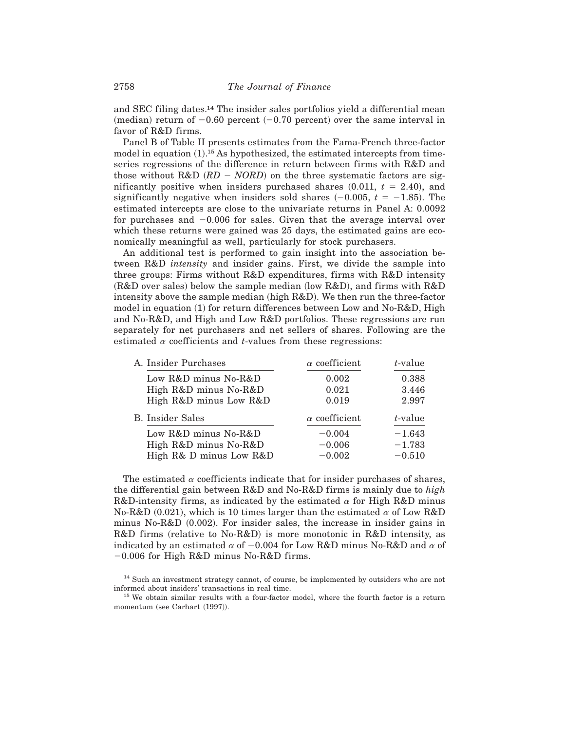and SEC filing dates.14 The insider sales portfolios yield a differential mean (median) return of  $-0.60$  percent  $(-0.70$  percent) over the same interval in favor of R&D firms.

Panel B of Table II presents estimates from the Fama-French three-factor model in equation (1).<sup>15</sup> As hypothesized, the estimated intercepts from timeseries regressions of the difference in return between firms with R&D and those without R&D  $(RD - NORD)$  on the three systematic factors are significantly positive when insiders purchased shares  $(0.011, t = 2.40)$ , and significantly negative when insiders sold shares  $(-0.005, t = -1.85)$ . The estimated intercepts are close to the univariate returns in Panel A: 0.0092 for purchases and  $-0.006$  for sales. Given that the average interval over which these returns were gained was 25 days, the estimated gains are economically meaningful as well, particularly for stock purchasers.

An additional test is performed to gain insight into the association between R&D *intensity* and insider gains. First, we divide the sample into three groups: Firms without R&D expenditures, firms with R&D intensity  $(R&D$  over sales) below the sample median (low  $R&D$ ), and firms with  $R&D$ intensity above the sample median  $(high R&D)$ . We then run the three-factor model in equation  $(1)$  for return differences between Low and No-R&D, High and No-R&D, and High and Low R&D portfolios. These regressions are run separately for net purchasers and net sellers of shares. Following are the estimated  $\alpha$  coefficients and *t*-values from these regressions:

| A. Insider Purchases    | $\alpha$ coefficient | $t$ -value |  |
|-------------------------|----------------------|------------|--|
| Low R&D minus No-R&D    | 0.002                | 0.388      |  |
| High R&D minus No-R&D   | 0.021                | 3.446      |  |
| High R&D minus Low R&D  | 0.019                | 2.997      |  |
| <b>B.</b> Insider Sales | $\alpha$ coefficient | $t$ -value |  |
| Low R&D minus No-R&D    | $-0.004$             | $-1.643$   |  |
|                         |                      |            |  |
| High R&D minus No-R&D   | $-0.006$             | $-1.783$   |  |

The estimated  $\alpha$  coefficients indicate that for insider purchases of shares, the differential gain between R&D and No-R&D firms is mainly due to *high* R&D-intensity firms, as indicated by the estimated  $\alpha$  for High R&D minus No-R&D (0.021), which is 10 times larger than the estimated  $\alpha$  of Low R&D minus  $No-R&D$   $(0.002)$ . For insider sales, the increase in insider gains in R&D firms (relative to No-R&D) is more monotonic in R&D intensity, as indicated by an estimated  $\alpha$  of  $-0.004$  for Low R&D minus No-R&D and  $\alpha$  of  $-0.006$  for High R&D minus No-R&D firms.

<sup>&</sup>lt;sup>14</sup> Such an investment strategy cannot, of course, be implemented by outsiders who are not informed about insiders' transactions in real time.

<sup>&</sup>lt;sup>15</sup> We obtain similar results with a four-factor model, where the fourth factor is a return momentum (see Carhart (1997)).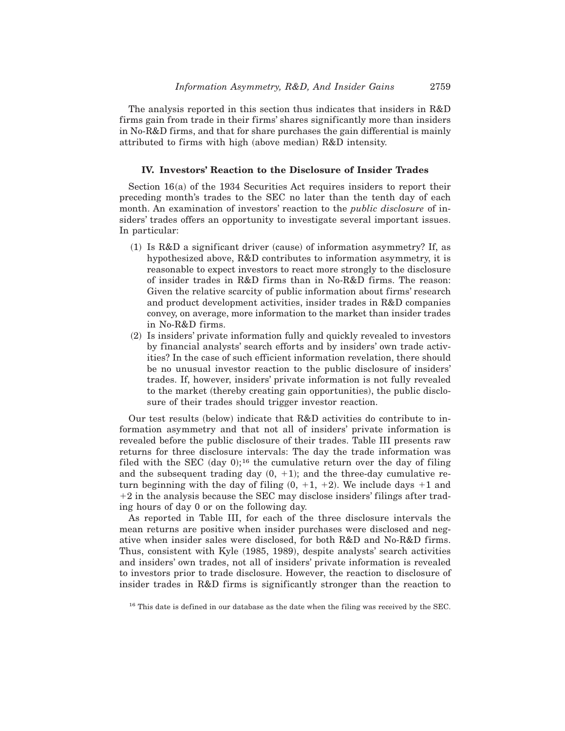The analysis reported in this section thus indicates that insiders in R&D firms gain from trade in their firms' shares significantly more than insiders in No-R&D firms, and that for share purchases the gain differential is mainly attributed to firms with high (above median)  $R&D$  intensity.

## **IV. Investors' Reaction to the Disclosure of Insider Trades**

Section  $16(a)$  of the 1934 Securities Act requires insiders to report their preceding month's trades to the SEC no later than the tenth day of each month. An examination of investors' reaction to the *public disclosure* of insiders' trades offers an opportunity to investigate several important issues. In particular:

- $(1)$  Is R&D a significant driver (cause) of information asymmetry? If, as hypothesized above, R&D contributes to information asymmetry, it is reasonable to expect investors to react more strongly to the disclosure of insider trades in R&D firms than in No-R&D firms. The reason: Given the relative scarcity of public information about firms' research and product development activities, insider trades in R&D companies convey, on average, more information to the market than insider trades in No-R&D firms.
- $(2)$  Is insiders' private information fully and quickly revealed to investors by financial analysts' search efforts and by insiders' own trade activities? In the case of such efficient information revelation, there should be no unusual investor reaction to the public disclosure of insiders' trades. If, however, insiders' private information is not fully revealed to the market  $(thereby creating gain opportunities)$ , the public disclosure of their trades should trigger investor reaction.

Our test results (below) indicate that  $R&D$  activities do contribute to information asymmetry and that not all of insiders' private information is revealed before the public disclosure of their trades. Table III presents raw returns for three disclosure intervals: The day the trade information was filed with the SEC  $(day 0)$ ;<sup>16</sup> the cumulative return over the day of filing and the subsequent trading day  $(0, +1)$ ; and the three-day cumulative return beginning with the day of filing  $(0, +1, +2)$ . We include days +1 and  $+2$  in the analysis because the SEC may disclose insiders' filings after trading hours of day 0 or on the following day.

As reported in Table III, for each of the three disclosure intervals the mean returns are positive when insider purchases were disclosed and negative when insider sales were disclosed, for both R&D and No-R&D firms. Thus, consistent with Kyle (1985, 1989), despite analysts' search activities and insiders' own trades, not all of insiders' private information is revealed to investors prior to trade disclosure. However, the reaction to disclosure of insider trades in R&D firms is significantly stronger than the reaction to

<sup>&</sup>lt;sup>16</sup> This date is defined in our database as the date when the filing was received by the SEC.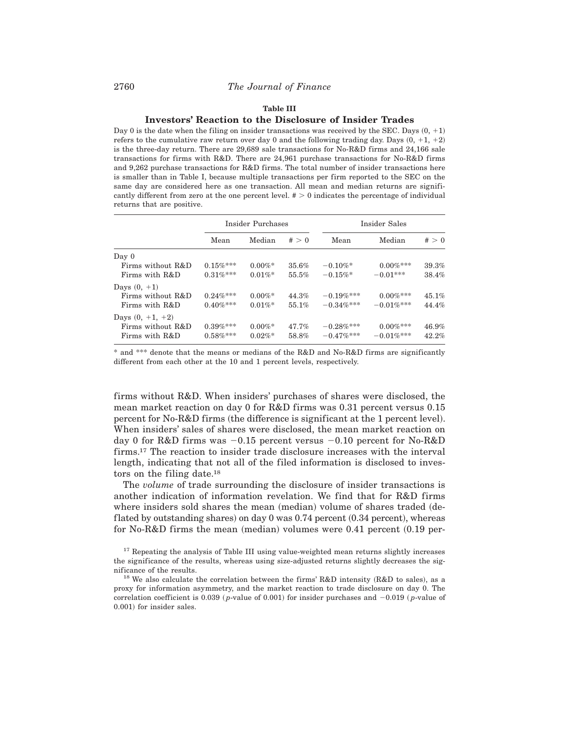#### **Table III**

#### **Investors' Reaction to the Disclosure of Insider Trades**

Day 0 is the date when the filing on insider transactions was received by the SEC. Days  $(0, +1)$ refers to the cumulative raw return over day 0 and the following trading day. Days  $(0, +1, +2)$ is the three-day return. There are 29,689 sale transactions for No-R&D firms and 24,166 sale transactions for firms with R&D. There are 24,961 purchase transactions for No-R&D firms and 9,262 purchase transactions for R&D firms. The total number of insider transactions here is smaller than in Table I, because multiple transactions per firm reported to the SEC on the same day are considered here as one transaction. All mean and median returns are significantly different from zero at the one percent level.  $# > 0$  indicates the percentage of individual returns that are positive.

|                    |             | Insider Purchases |       | Insider Sales |               |          |  |
|--------------------|-------------|-------------------|-------|---------------|---------------|----------|--|
|                    | Mean        | Median            | # > 0 | Mean          | Median        | # > 0    |  |
| Day 0              |             |                   |       |               |               |          |  |
| Firms without R&D  | $0.15\%***$ | $0.00\%$ *        | 35.6% | $-0.10\%$ *   | $0.00\%***$   | 39.3%    |  |
| Firms with R&D     | $0.31\%***$ | $0.01\%$ *        | 55.5% | $-0.15\%$ *   | $-0.01***$    | 38.4%    |  |
| Days $(0, +1)$     |             |                   |       |               |               |          |  |
| Firms without R&D  | $0.24\%***$ | $0.00\%$ *        | 44.3% | $-0.19\%$ *** | $0.00\%***$   | $45.1\%$ |  |
| Firms with R&D     | $0.40\%***$ | $0.01\%$ *        | 55.1% | $-0.34\%$ *** | $-0.01\%$ *** | 44.4%    |  |
| Days $(0, +1, +2)$ |             |                   |       |               |               |          |  |
| Firms without R&D  | $0.39\%***$ | $0.00\%$ *        | 47.7% | $-0.28\%$ *** | $0.00\%***$   | 46.9%    |  |
| Firms with R&D     | $0.58\%***$ | $0.02\%$ *        | 58.8% | $-0.47\%$ *** | $-0.01\%$ *** | 42.2%    |  |

\* and \*\*\* denote that the means or medians of the R&D and No-R&D firms are significantly different from each other at the 10 and 1 percent levels, respectively.

firms without R&D. When insiders' purchases of shares were disclosed, the mean market reaction on day 0 for R&D firms was 0.31 percent versus 0.15 percent for  $No-R&D$  firms (the difference is significant at the 1 percent level). When insiders' sales of shares were disclosed, the mean market reaction on day 0 for R&D firms was  $-0.15$  percent versus  $-0.10$  percent for No-R&D firms.17 The reaction to insider trade disclosure increases with the interval length, indicating that not all of the filed information is disclosed to investors on the filing date.18

The *volume* of trade surrounding the disclosure of insider transactions is another indication of information revelation. We find that for R&D firms where insiders sold shares the mean (median) volume of shares traded (deflated by outstanding shares) on day 0 was  $0.74$  percent  $(0.34$  percent), whereas for No-R&D firms the mean (median) volumes were 0.41 percent  $(0.19$  per-

<sup>17</sup> Repeating the analysis of Table III using value-weighted mean returns slightly increases the significance of the results, whereas using size-adjusted returns slightly decreases the significance of the results.

 $^{18}$  We also calculate the correlation between the firms' R&D intensity (R&D to sales), as a proxy for information asymmetry, and the market reaction to trade disclosure on day 0. The correlation coefficient is 0.039 (*p*-value of 0.001) for insider purchases and  $-0.019$  (*p*-value of 0.001) for insider sales.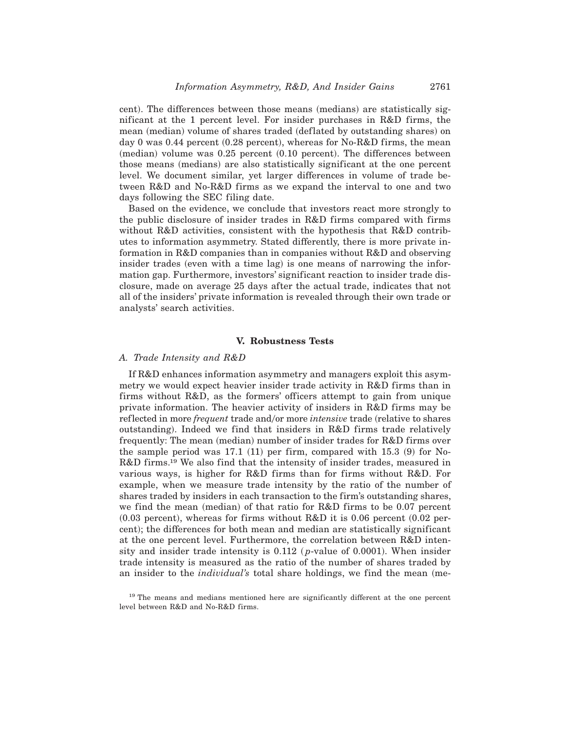cent). The differences between those means (medians) are statistically significant at the 1 percent level. For insider purchases in R&D firms, the mean (median) volume of shares traded (deflated by outstanding shares) on day 0 was 0.44 percent  $(0.28$  percent), whereas for No-R&D firms, the mean  $(median)$  volume was 0.25 percent  $(0.10$  percent). The differences between those means (medians) are also statistically significant at the one percent level. We document similar, yet larger differences in volume of trade between R&D and No-R&D firms as we expand the interval to one and two days following the SEC filing date.

Based on the evidence, we conclude that investors react more strongly to the public disclosure of insider trades in R&D firms compared with firms without R&D activities, consistent with the hypothesis that R&D contributes to information asymmetry. Stated differently, there is more private information in R&D companies than in companies without R&D and observing insider trades (even with a time lag) is one means of narrowing the information gap. Furthermore, investors' significant reaction to insider trade disclosure, made on average 25 days after the actual trade, indicates that not all of the insiders' private information is revealed through their own trade or analysts' search activities.

#### **V. Robustness Tests**

#### *A. Trade Intensity and R&D*

If R&D enhances information asymmetry and managers exploit this asymmetry we would expect heavier insider trade activity in R&D firms than in firms without R&D, as the formers' officers attempt to gain from unique private information. The heavier activity of insiders in R&D firms may be reflected in more *frequent* trade and/or more *intensive* trade (relative to shares outstanding). Indeed we find that insiders in  $R&D$  firms trade relatively frequently: The mean (median) number of insider trades for R&D firms over the sample period was  $17.1$  (11) per firm, compared with 15.3 (9) for No-R&D firms.19 We also find that the intensity of insider trades, measured in various ways, is higher for R&D firms than for firms without R&D. For example, when we measure trade intensity by the ratio of the number of shares traded by insiders in each transaction to the firm's outstanding shares, we find the mean (median) of that ratio for R&D firms to be  $0.07$  percent  $(0.03$  percent), whereas for firms without R&D it is 0.06 percent  $(0.02$  percent); the differences for both mean and median are statistically significant at the one percent level. Furthermore, the correlation between R&D intensity and insider trade intensity is  $0.112$  (*p*-value of 0.0001). When insider trade intensity is measured as the ratio of the number of shares traded by an insider to the *individual's* total share holdings, we find the mean (me-

<sup>&</sup>lt;sup>19</sup> The means and medians mentioned here are significantly different at the one percent level between R&D and No-R&D firms.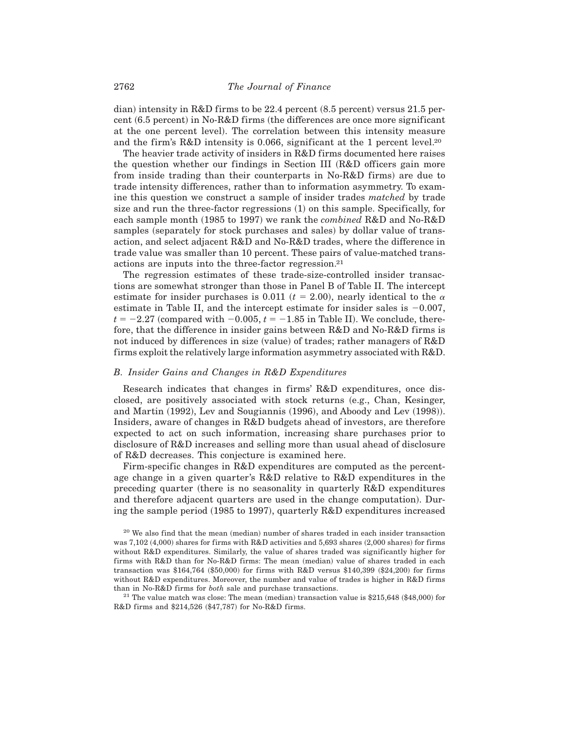dian) intensity in R&D firms to be 22.4 percent  $(8.5$  percent) versus 21.5 percent  $(6.5$  percent) in No-R&D firms (the differences are once more significant at the one percent level). The correlation between this intensity measure and the firm's R&D intensity is 0.066, significant at the 1 percent level.20

The heavier trade activity of insiders in R&D firms documented here raises the question whether our findings in Section III  $(R&D)$  officers gain more from inside trading than their counterparts in  $No-R&D$  firms) are due to trade intensity differences, rather than to information asymmetry. To examine this question we construct a sample of insider trades *matched* by trade size and run the three-factor regressions  $(1)$  on this sample. Specifically, for each sample month (1985 to 1997) we rank the *combined* R&D and No-R&D samples (separately for stock purchases and sales) by dollar value of transaction, and select adjacent R&D and No-R&D trades, where the difference in trade value was smaller than 10 percent. These pairs of value-matched transactions are inputs into the three-factor regression.21

The regression estimates of these trade-size-controlled insider transactions are somewhat stronger than those in Panel B of Table II. The intercept estimate for insider purchases is 0.011 ( $t = 2.00$ ), nearly identical to the  $\alpha$ estimate in Table II, and the intercept estimate for insider sales is  $-0.007$ ,  $t = -2.27$  (compared with  $-0.005$ ,  $t = -1.85$  in Table II). We conclude, therefore, that the difference in insider gains between R&D and No-R&D firms is not induced by differences in size (value) of trades; rather managers of  $R&D$ firms exploit the relatively large information asymmetry associated with R&D.

## *B. Insider Gains and Changes in R&D Expenditures*

Research indicates that changes in firms' R&D expenditures, once disclosed, are positively associated with stock returns  $(e.g.,)$  Chan, Kesinger, and Martin  $(1992)$ , Lev and Sougiannis  $(1996)$ , and Aboody and Lev  $(1998)$ . Insiders, aware of changes in R&D budgets ahead of investors, are therefore expected to act on such information, increasing share purchases prior to disclosure of R&D increases and selling more than usual ahead of disclosure of R&D decreases. This conjecture is examined here.

Firm-specific changes in R&D expenditures are computed as the percentage change in a given quarter's R&D relative to R&D expenditures in the preceding quarter (there is no seasonality in quarterly  $R&D$  expenditures and therefore adjacent quarters are used in the change computation). During the sample period  $(1985 \text{ to } 1997)$ , quarterly R&D expenditures increased

 $20$  We also find that the mean (median) number of shares traded in each insider transaction was  $7,102 ~ (4,000)$  shares for firms with R&D activities and  $5,693$  shares  $(2,000$  shares) for firms without R&D expenditures. Similarly, the value of shares traded was significantly higher for firms with  $R&D$  than for No-R&D firms: The mean (median) value of shares traded in each transaction was \$164,764  $(\$50,000$  for firms with R&D versus \$140,399  $(\$24,200)$  for firms without R&D expenditures. Moreover, the number and value of trades is higher in R&D firms than in No-R&D firms for *both* sale and purchase transactions.

<sup>21</sup> The value match was close: The mean (median) transaction value is  $$215,648$  ( $$48,000$ ) for R&D firms and \$214,526 (\$47,787) for No-R&D firms.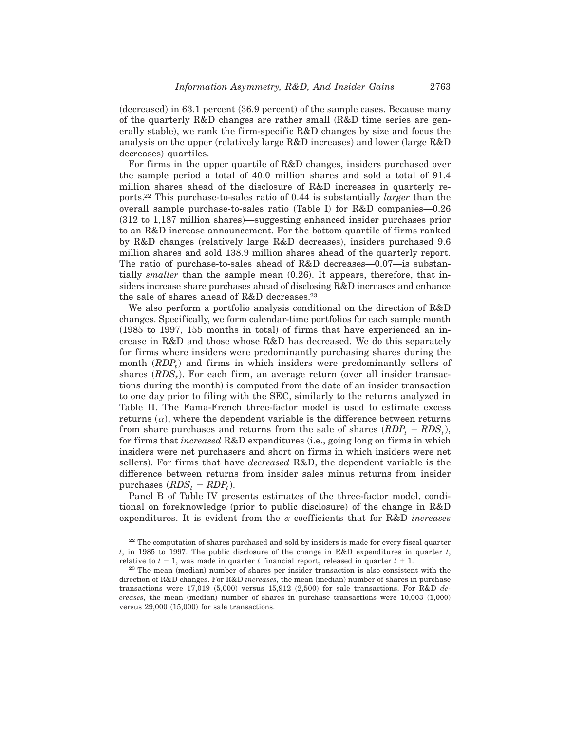$(derceased)$  in 63.1 percent  $(36.9$  percent) of the sample cases. Because many of the quarterly R&D changes are rather small  $(R&D$  time series are generally stable), we rank the firm-specific  $R&D$  changes by size and focus the analysis on the upper (relatively large R&D increases) and lower (large R&D) decreases) quartiles.

For firms in the upper quartile of R&D changes, insiders purchased over the sample period a total of 40.0 million shares and sold a total of 91.4 million shares ahead of the disclosure of R&D increases in quarterly reports.22 This purchase-to-sales ratio of 0.44 is substantially *larger* than the overall sample purchase-to-sales ratio (Table I) for  $R&D$  companies—0.26  $(312$  to 1,187 million shares)—suggesting enhanced insider purchases prior to an R&D increase announcement. For the bottom quartile of firms ranked by  $R&D$  changes (relatively large  $R&D$  decreases), insiders purchased 9.6 million shares and sold 138.9 million shares ahead of the quarterly report. The ratio of purchase-to-sales ahead of R&D decreases—0.07—is substantially *smaller* than the sample mean  $(0.26)$ . It appears, therefore, that insiders increase share purchases ahead of disclosing R&D increases and enhance the sale of shares ahead of R&D decreases.23

We also perform a portfolio analysis conditional on the direction of R&D changes. Specifically, we form calendar-time portfolios for each sample month  $(1985$  to 1997, 155 months in total) of firms that have experienced an increase in R&D and those whose R&D has decreased. We do this separately for firms where insiders were predominantly purchasing shares during the month  $(RDP<sub>t</sub>)$  and firms in which insiders were predominantly sellers of shares  $(RDS<sub>t</sub>)$ . For each firm, an average return (over all insider transactions during the month) is computed from the date of an insider transaction to one day prior to filing with the SEC, similarly to the returns analyzed in Table II. The Fama-French three-factor model is used to estimate excess returns  $(\alpha)$ , where the dependent variable is the difference between returns from share purchases and returns from the sale of shares  $(RDP_t - RDS_t)$ , for firms that *increased* R&D expenditures (i.e., going long on firms in which insiders were net purchasers and short on firms in which insiders were net sellers). For firms that have *decreased* R&D, the dependent variable is the difference between returns from insider sales minus returns from insider purchases  $(RDS_t - RDP_t)$ .

Panel B of Table IV presents estimates of the three-factor model, conditional on foreknowledge (prior to public disclosure) of the change in  $R&D$ expenditures. It is evident from the  $\alpha$  coefficients that for R&D *increases* 

 $22$  The computation of shares purchased and sold by insiders is made for every fiscal quarter *t*, in 1985 to 1997. The public disclosure of the change in R&D expenditures in quarter *t*, relative to  $t - 1$ , was made in quarter  $t$  financial report, released in quarter  $t + 1$ .

 $23$  The mean (median) number of shares per insider transaction is also consistent with the direction of R&D changes. For R&D *increases*, the mean (median) number of shares in purchase transactions were  $17,019$   $(5,000)$  versus  $15,912$   $(2,500)$  for sale transactions. For R&D *de* $creases$ , the mean  $(median)$  number of shares in purchase transactions were  $10,003$   $(1,000)$ versus  $29,000$   $(15,000)$  for sale transactions.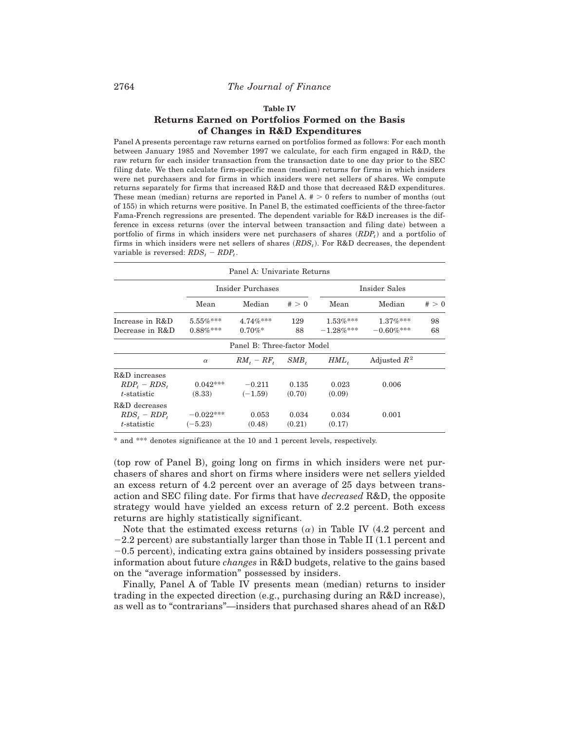## **Table IV**

## **Returns Earned on Portfolios Formed on the Basis of Changes in R&D Expenditures**

Panel A presents percentage raw returns earned on portfolios formed as follows: For each month between January 1985 and November 1997 we calculate, for each firm engaged in R&D, the raw return for each insider transaction from the transaction date to one day prior to the SEC filing date. We then calculate firm-specific mean (median) returns for firms in which insiders were net purchasers and for firms in which insiders were net sellers of shares. We compute returns separately for firms that increased R&D and those that decreased R&D expenditures. These mean (median) returns are reported in Panel A.  $# > 0$  refers to number of months (out of 155) in which returns were positive. In Panel B, the estimated coefficients of the three-factor Fama-French regressions are presented. The dependent variable for R&D increases is the difference in excess returns (over the interval between transaction and filing date) between a portfolio of firms in which insiders were net purchasers of shares  $(RDP<sub>t</sub>)$  and a portfolio of firms in which insiders were net sellers of shares  $(RDS<sub>t</sub>)$ . For R&D decreases, the dependent variable is reversed:  $RDS_t - RDP_t$ .

|                                                        |                          | Panel A: Univariate Returns |                 |                 |                |       |  |
|--------------------------------------------------------|--------------------------|-----------------------------|-----------------|-----------------|----------------|-------|--|
|                                                        |                          | Insider Purchases           |                 | Insider Sales   |                |       |  |
|                                                        | Mean                     | Median                      | # > 0           | Mean            | Median         | # > 0 |  |
| Increase in R&D                                        | $5.55\%***$              | $4.74\%***$                 | 129             | $1.53\%***$     | $1.37\%***$    | 98    |  |
| Decrease in R&D                                        | $0.88\%***$              | $0.70\%$ *                  | 88              | $-1.28\%***$    | $-0.60\%$ ***  | 68    |  |
|                                                        |                          | Panel B: Three-factor Model |                 |                 |                |       |  |
|                                                        | $\alpha$                 | $RM_t - RF_t$ SMB,          |                 | $HML_{t}$       | Adjusted $R^2$ |       |  |
| R&D increases<br>$RDP_t - RDS_t$<br>$t$ -statistic     | $0.042***$<br>(8.33)     | $-0.211$<br>$(-1.59)$       | 0.135<br>(0.70) | 0.023<br>(0.09) | 0.006          |       |  |
| R&D decreases<br>$RDS_{t} - RDP_{t}$<br>$t$ -statistic | $-0.022***$<br>$(-5.23)$ | 0.053<br>(0.48)             | 0.034<br>(0.21) | 0.034<br>(0.17) | 0.001          |       |  |

\* and \*\*\* denotes significance at the 10 and 1 percent levels, respectively.

(top row of Panel B), going long on firms in which insiders were net purchasers of shares and short on firms where insiders were net sellers yielded an excess return of 4.2 percent over an average of 25 days between transaction and SEC filing date. For firms that have *decreased* R&D, the opposite strategy would have yielded an excess return of 2.2 percent. Both excess returns are highly statistically significant.

Note that the estimated excess returns  $(\alpha)$  in Table IV (4.2 percent and  $-2.2$  percent) are substantially larger than those in Table II  $(1.1$  percent and  $-0.5$  percent), indicating extra gains obtained by insiders possessing private information about future *changes* in R&D budgets, relative to the gains based on the "average information" possessed by insiders.

Finally, Panel A of Table IV presents mean (median) returns to insider trading in the expected direction  $(e.g., \text{ purchasing during an R&D increase}),$ as well as to "contrarians"—insiders that purchased shares ahead of an R&D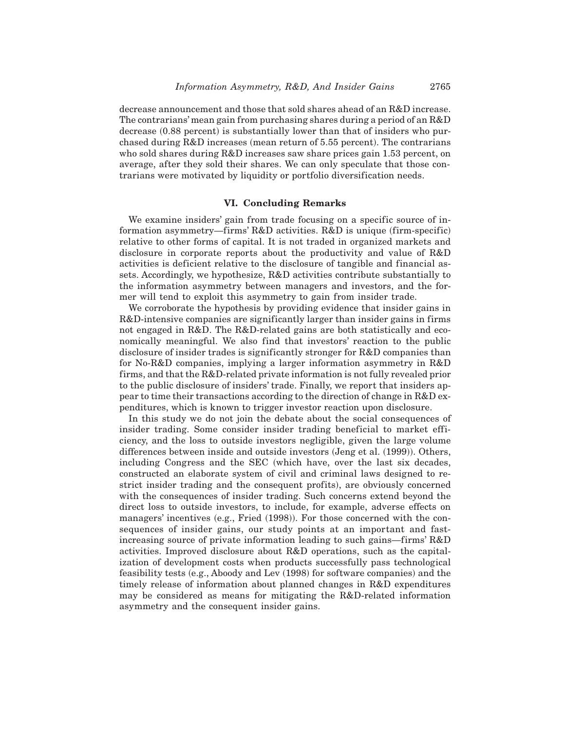decrease announcement and those that sold shares ahead of an R&D increase. The contrarians' mean gain from purchasing shares during a period of an R&D decrease  $(0.88$  percent) is substantially lower than that of insiders who purchased during  $R&D$  increases (mean return of 5.55 percent). The contrarians who sold shares during R&D increases saw share prices gain 1.53 percent, on average, after they sold their shares. We can only speculate that those contrarians were motivated by liquidity or portfolio diversification needs.

#### **VI. Concluding Remarks**

We examine insiders' gain from trade focusing on a specific source of information asymmetry—firms'  $R&D$  activities.  $R&D$  is unique (firm-specific) relative to other forms of capital. It is not traded in organized markets and disclosure in corporate reports about the productivity and value of R&D activities is deficient relative to the disclosure of tangible and financial assets. Accordingly, we hypothesize, R&D activities contribute substantially to the information asymmetry between managers and investors, and the former will tend to exploit this asymmetry to gain from insider trade.

We corroborate the hypothesis by providing evidence that insider gains in R&D-intensive companies are significantly larger than insider gains in firms not engaged in R&D. The R&D-related gains are both statistically and economically meaningful. We also find that investors' reaction to the public disclosure of insider trades is significantly stronger for R&D companies than for No-R&D companies, implying a larger information asymmetry in R&D firms, and that the R&D-related private information is not fully revealed prior to the public disclosure of insiders' trade. Finally, we report that insiders appear to time their transactions according to the direction of change in R&D expenditures, which is known to trigger investor reaction upon disclosure.

In this study we do not join the debate about the social consequences of insider trading. Some consider insider trading beneficial to market efficiency, and the loss to outside investors negligible, given the large volume differences between inside and outside investors (Jeng et al. (1999)). Others, including Congress and the SEC (which have, over the last six decades, constructed an elaborate system of civil and criminal laws designed to restrict insider trading and the consequent profits), are obviously concerned with the consequences of insider trading. Such concerns extend beyond the direct loss to outside investors, to include, for example, adverse effects on managers' incentives  $(e.g.,$  Fried  $(1998)$ ). For those concerned with the consequences of insider gains, our study points at an important and fastincreasing source of private information leading to such gains—firms' R&D activities. Improved disclosure about R&D operations, such as the capitalization of development costs when products successfully pass technological feasibility tests  $(e.g.,$  Aboody and Lev  $(1998)$  for software companies) and the timely release of information about planned changes in R&D expenditures may be considered as means for mitigating the R&D-related information asymmetry and the consequent insider gains.